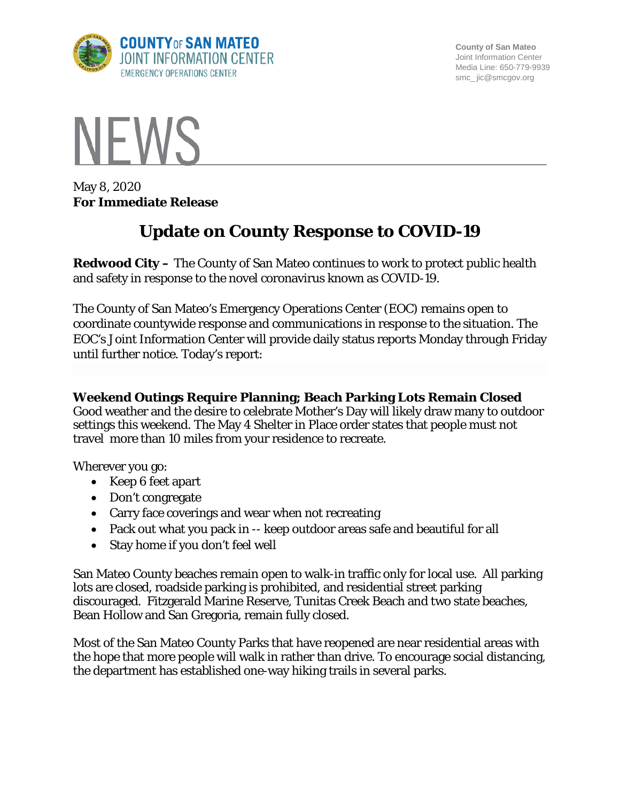

**County of San Mateo** Joint Information Center Media Line: 650-779-9939 smc\_ jic@smcgov.org



May 8, 2020 **For Immediate Release**

# **Update on County Response to COVID-19**

**Redwood City –** The County of San Mateo continues to work to protect public health and safety in response to the novel coronavirus known as COVID-19.

The County of San Mateo's Emergency Operations Center (EOC) remains open to coordinate countywide response and communications in response to the situation. The EOC's Joint Information Center will provide daily status reports Monday through Friday until further notice. Today's report:

## **Weekend Outings Require Planning; Beach Parking Lots Remain Closed**

Good weather and the desire to celebrate Mother's Day will likely draw many to outdoor settings this weekend. The May 4 Shelter in Place order states that people must not travel more than 10 miles from your residence to recreate.

Wherever you go:

- Keep 6 feet apart
- Don't congregate
- Carry face coverings and wear when not recreating
- Pack out what you pack in -- keep outdoor areas safe and beautiful for all
- Stay home if you don't feel well

San Mateo County beaches remain open to walk-in traffic only for local use. All parking lots are closed, roadside parking is prohibited, and residential street parking discouraged. Fitzgerald Marine Reserve, Tunitas Creek Beach and two state beaches, Bean Hollow and San Gregoria, remain fully closed.

Most of the San Mateo County Parks that have reopened are near residential areas with the hope that more people will walk in rather than drive. To encourage social distancing, the department has established one-way hiking trails in several parks.